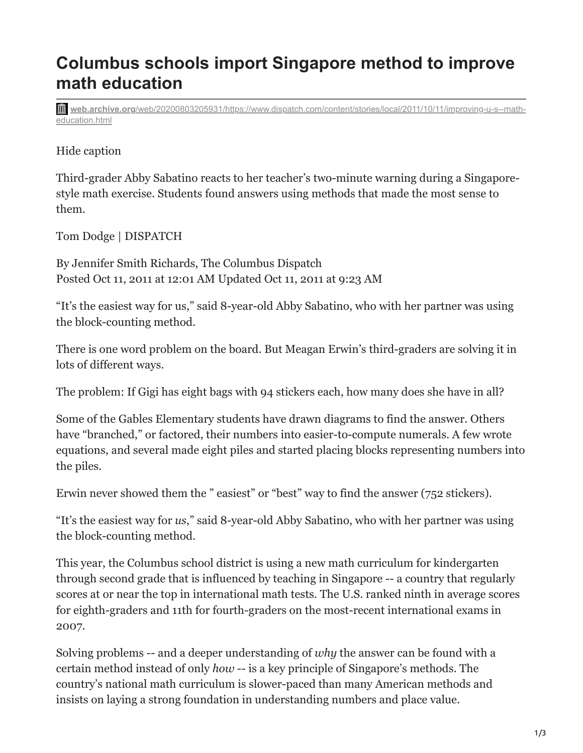## **Columbus schools import Singapore method to improve math education**

**web.archive.org**[/web/20200803205931/https://www.dispatch.com/content/stories/local/2011/10/11/improving-u-s--math](https://web.archive.org/web/20200803205931/https://www.dispatch.com/content/stories/local/2011/10/11/improving-u-s--math-education.html)education.html

## Hide caption

Third-grader Abby Sabatino reacts to her teacher's two-minute warning during a Singaporestyle math exercise. Students found answers using methods that made the most sense to them.

Tom Dodge | DISPATCH

By Jennifer Smith Richards, The Columbus Dispatch Posted Oct 11, 2011 at 12:01 AM Updated Oct 11, 2011 at 9:23 AM

"It's the easiest way for us," said 8-year-old Abby Sabatino, who with her partner was using the block-counting method.

There is one word problem on the board. But Meagan Erwin's third-graders are solving it in lots of different ways.

The problem: If Gigi has eight bags with 94 stickers each, how many does she have in all?

Some of the Gables Elementary students have drawn diagrams to find the answer. Others have "branched," or factored, their numbers into easier-to-compute numerals. A few wrote equations, and several made eight piles and started placing blocks representing numbers into the piles.

Erwin never showed them the " easiest" or "best" way to find the answer (752 stickers).

"It's the easiest way for *us*," said 8-year-old Abby Sabatino, who with her partner was using the block-counting method.

This year, the Columbus school district is using a new math curriculum for kindergarten through second grade that is influenced by teaching in Singapore -- a country that regularly scores at or near the top in international math tests. The U.S. ranked ninth in average scores for eighth-graders and 11th for fourth-graders on the most-recent international exams in 2007.

Solving problems -- and a deeper understanding of *why* the answer can be found with a certain method instead of only *how* -- is a key principle of Singapore's methods. The country's national math curriculum is slower-paced than many American methods and insists on laying a strong foundation in understanding numbers and place value.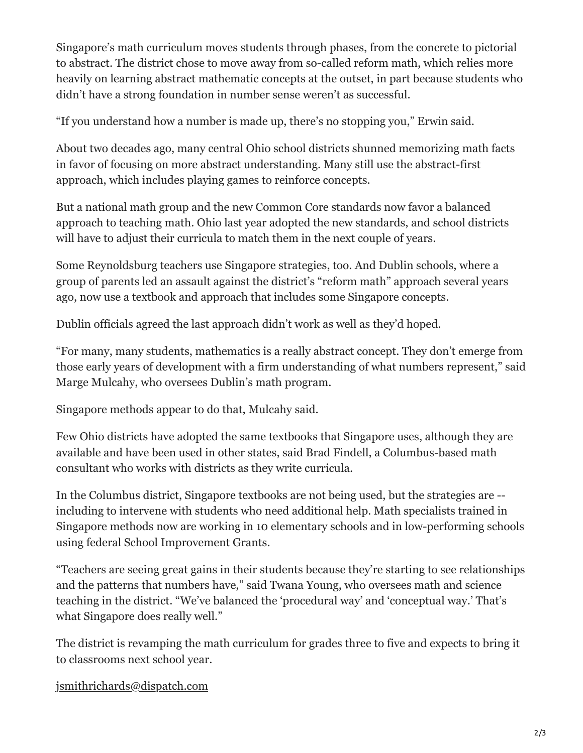Singapore's math curriculum moves students through phases, from the concrete to pictorial to abstract. The district chose to move away from so-called reform math, which relies more heavily on learning abstract mathematic concepts at the outset, in part because students who didn't have a strong foundation in number sense weren't as successful.

"If you understand how a number is made up, there's no stopping you," Erwin said.

About two decades ago, many central Ohio school districts shunned memorizing math facts in favor of focusing on more abstract understanding. Many still use the abstract-first approach, which includes playing games to reinforce concepts.

But a national math group and the new Common Core standards now favor a balanced approach to teaching math. Ohio last year adopted the new standards, and school districts will have to adjust their curricula to match them in the next couple of years.

Some Reynoldsburg teachers use Singapore strategies, too. And Dublin schools, where a group of parents led an assault against the district's "reform math" approach several years ago, now use a textbook and approach that includes some Singapore concepts.

Dublin officials agreed the last approach didn't work as well as they'd hoped.

"For many, many students, mathematics is a really abstract concept. They don't emerge from those early years of development with a firm understanding of what numbers represent," said Marge Mulcahy, who oversees Dublin's math program.

Singapore methods appear to do that, Mulcahy said.

Few Ohio districts have adopted the same textbooks that Singapore uses, although they are available and have been used in other states, said Brad Findell, a Columbus-based math consultant who works with districts as they write curricula.

In the Columbus district, Singapore textbooks are not being used, but the strategies are - including to intervene with students who need additional help. Math specialists trained in Singapore methods now are working in 10 elementary schools and in low-performing schools using federal School Improvement Grants.

"Teachers are seeing great gains in their students because they're starting to see relationships and the patterns that numbers have," said Twana Young, who oversees math and science teaching in the district. "We've balanced the 'procedural way' and 'conceptual way.' That's what Singapore does really well."

The district is revamping the math curriculum for grades three to five and expects to bring it to classrooms next school year.

[jsmithrichards@dispatch.com](mailto:jsmithrichards@dispatch.com)